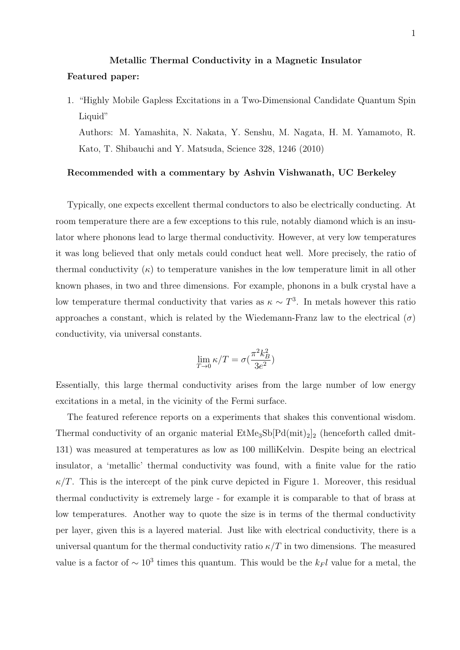## Metallic Thermal Conductivity in a Magnetic Insulator Featured paper:

1. "Highly Mobile Gapless Excitations in a Two-Dimensional Candidate Quantum Spin Liquid"

Authors: M. Yamashita, N. Nakata, Y. Senshu, M. Nagata, H. M. Yamamoto, R. Kato, T. Shibauchi and Y. Matsuda, Science 328, 1246 (2010)

## Recommended with a commentary by Ashvin Vishwanath, UC Berkeley

Typically, one expects excellent thermal conductors to also be electrically conducting. At room temperature there are a few exceptions to this rule, notably diamond which is an insulator where phonons lead to large thermal conductivity. However, at very low temperatures it was long believed that only metals could conduct heat well. More precisely, the ratio of thermal conductivity  $(\kappa)$  to temperature vanishes in the low temperature limit in all other known phases, in two and three dimensions. For example, phonons in a bulk crystal have a low temperature thermal conductivity that varies as  $\kappa \sim T^3$ . In metals however this ratio approaches a constant, which is related by the Wiedemann-Franz law to the electrical  $(\sigma)$ conductivity, via universal constants.

$$
\lim_{T \to 0} \kappa/T = \sigma(\frac{\pi^2 k_B^2}{3e^2})
$$

Essentially, this large thermal conductivity arises from the large number of low energy excitations in a metal, in the vicinity of the Fermi surface.

The featured reference reports on a experiments that shakes this conventional wisdom. Thermal conductivity of an organic material  $\text{EtMe}_3\text{Sb}[\text{Pd}(\text{mit})_2]_2$  (henceforth called dmit-131) was measured at temperatures as low as 100 milliKelvin. Despite being an electrical insulator, a 'metallic' thermal conductivity was found, with a finite value for the ratio  $\kappa/T$ . This is the intercept of the pink curve depicted in Figure 1. Moreover, this residual thermal conductivity is extremely large - for example it is comparable to that of brass at low temperatures. Another way to quote the size is in terms of the thermal conductivity per layer, given this is a layered material. Just like with electrical conductivity, there is a universal quantum for the thermal conductivity ratio  $\kappa/T$  in two dimensions. The measured value is a factor of  $\sim 10^3$  times this quantum. This would be the k<sub>F</sub>l value for a metal, the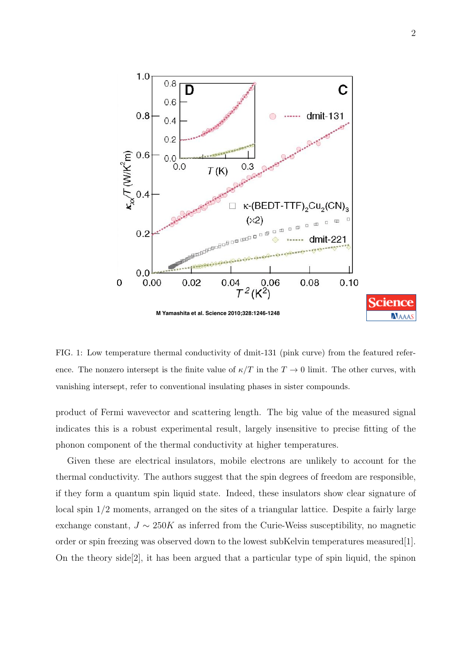

FIG. 1: Low temperature thermal conductivity of dmit-131 (pink curve) from the featured reference. The nonzero intersept is the finite value of  $\kappa/T$  in the  $T \to 0$  limit. The other curves, with vanishing intersept, refer to conventional insulating phases in sister compounds.

product of Fermi wavevector and scattering length. The big value of the measured signal indicates this is a robust experimental result, largely insensitive to precise fitting of the phonon component of the thermal conductivity at higher temperatures.

Given these are electrical insulators, mobile electrons are unlikely to account for the thermal conductivity. The authors suggest that the spin degrees of freedom are responsible, if they form a quantum spin liquid state. Indeed, these insulators show clear signature of local spin 1/2 moments, arranged on the sites of a triangular lattice. Despite a fairly large exchange constant,  $J \sim 250K$  as inferred from the Curie-Weiss susceptibility, no magnetic order or spin freezing was observed down to the lowest subKelvin temperatures measured[1]. On the theory side[2], it has been argued that a particular type of spin liquid, the spinon